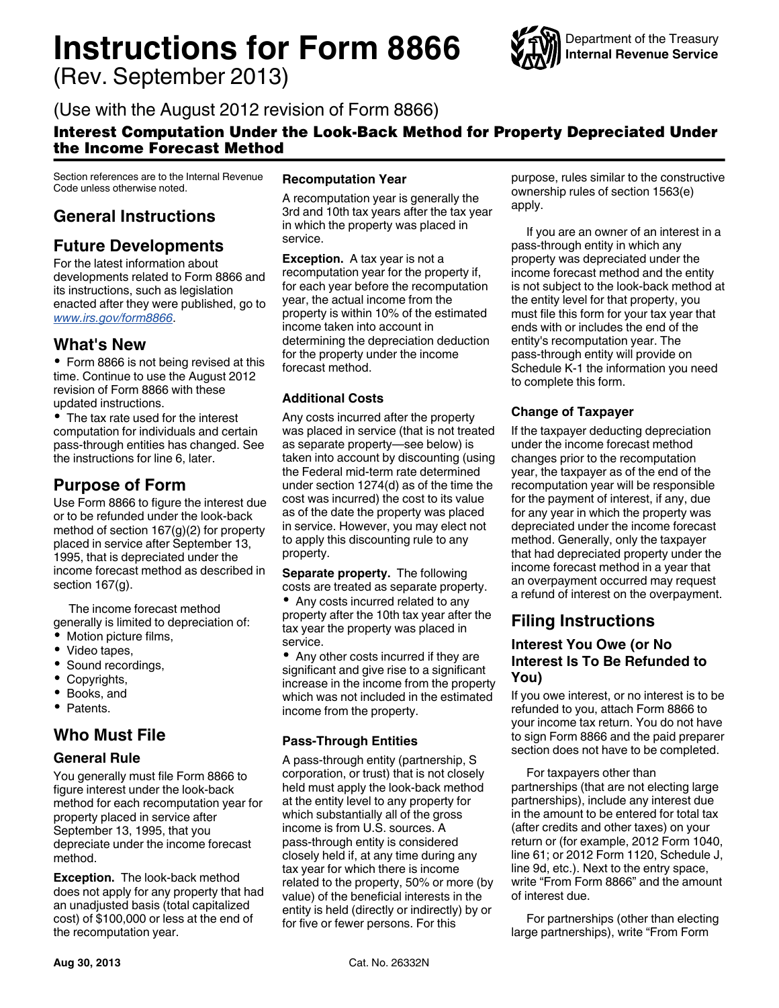# **Instructions for Form 8866**

(Rev. September 2013)



# (Use with the August 2012 revision of Form 8866)

## Interest Computation Under the Look-Back Method for Property Depreciated Under the Income Forecast Method

Section references are to the Internal Revenue Code unless otherwise noted.

# **General Instructions**

## **Future Developments**

For the latest information about developments related to Form 8866 and its instructions, such as legislation enacted after they were published, go to *[www.irs.gov/form8866](http://www.irs.gov/form8866)*.

## **What's New**

Form 8866 is not being revised at this time. Continue to use the August 2012 revision of Form 8866 with these updated instructions.

• The tax rate used for the interest computation for individuals and certain pass-through entities has changed. See the instructions for line 6, later.

## **Purpose of Form**

Use Form 8866 to figure the interest due or to be refunded under the look-back method of section 167(g)(2) for property placed in service after September 13, 1995, that is depreciated under the income forecast method as described in section 167(g).

The income forecast method generally is limited to depreciation of:

- Motion picture films,
- Video tapes,
- Sound recordings,
- $\bullet$ Copyrights,
- Books, and  $\bullet$
- Patents.

## **Who Must File**

#### **General Rule**

You generally must file Form 8866 to figure interest under the look-back method for each recomputation year for property placed in service after September 13, 1995, that you depreciate under the income forecast method.

**Exception.** The look-back method does not apply for any property that had an unadjusted basis (total capitalized cost) of \$100,000 or less at the end of the recomputation year.

#### **Recomputation Year**

A recomputation year is generally the 3rd and 10th tax years after the tax year in which the property was placed in service.

**Exception.** A tax year is not a recomputation year for the property if, for each year before the recomputation year, the actual income from the property is within 10% of the estimated income taken into account in determining the depreciation deduction for the property under the income forecast method.

#### **Additional Costs**

Any costs incurred after the property was placed in service (that is not treated as separate property—see below) is taken into account by discounting (using the Federal mid-term rate determined under section 1274(d) as of the time the cost was incurred) the cost to its value as of the date the property was placed in service. However, you may elect not to apply this discounting rule to any property.

**Separate property.** The following costs are treated as separate property.

• Any costs incurred related to any property after the 10th tax year after the tax year the property was placed in service.

• Any other costs incurred if they are significant and give rise to a significant increase in the income from the property which was not included in the estimated income from the property.

#### **Pass-Through Entities**

A pass-through entity (partnership, S corporation, or trust) that is not closely held must apply the look-back method at the entity level to any property for which substantially all of the gross income is from U.S. sources. A pass-through entity is considered closely held if, at any time during any tax year for which there is income related to the property, 50% or more (by value) of the beneficial interests in the entity is held (directly or indirectly) by or for five or fewer persons. For this

purpose, rules similar to the constructive ownership rules of section 1563(e) apply.

If you are an owner of an interest in a pass-through entity in which any property was depreciated under the income forecast method and the entity is not subject to the look-back method at the entity level for that property, you must file this form for your tax year that ends with or includes the end of the entity's recomputation year. The pass-through entity will provide on Schedule K-1 the information you need to complete this form.

#### **Change of Taxpayer**

If the taxpayer deducting depreciation under the income forecast method changes prior to the recomputation year, the taxpayer as of the end of the recomputation year will be responsible for the payment of interest, if any, due for any year in which the property was depreciated under the income forecast method. Generally, only the taxpayer that had depreciated property under the income forecast method in a year that an overpayment occurred may request a refund of interest on the overpayment.

# **Filing Instructions**

## **Interest You Owe (or No Interest Is To Be Refunded to You)**

If you owe interest, or no interest is to be refunded to you, attach Form 8866 to your income tax return. You do not have to sign Form 8866 and the paid preparer section does not have to be completed.

For taxpayers other than partnerships (that are not electing large partnerships), include any interest due in the amount to be entered for total tax (after credits and other taxes) on your return or (for example, 2012 Form 1040, line 61; or 2012 Form 1120, Schedule J, line 9d, etc.). Next to the entry space, write "From Form 8866" and the amount of interest due.

For partnerships (other than electing large partnerships), write "From Form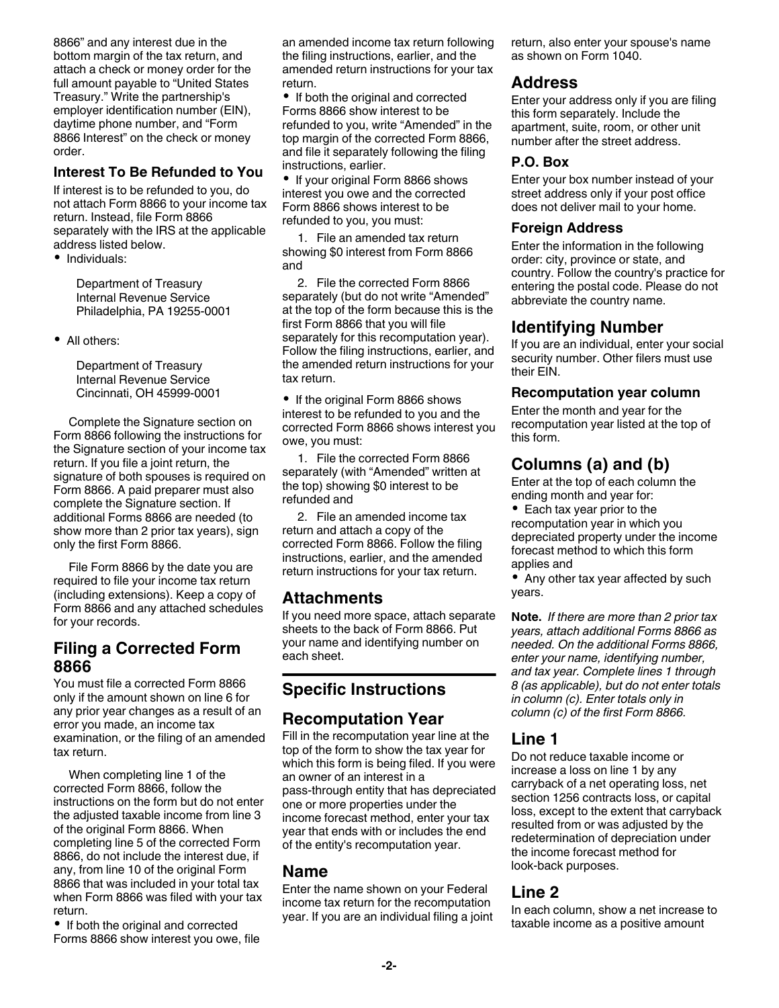8866" and any interest due in the bottom margin of the tax return, and attach a check or money order for the full amount payable to "United States Treasury." Write the partnership's employer identification number (EIN), daytime phone number, and "Form 8866 Interest" on the check or money order.

#### **Interest To Be Refunded to You**

If interest is to be refunded to you, do not attach Form 8866 to your income tax return. Instead, file Form 8866 separately with the IRS at the applicable address listed below.

• Individuals:

Department of Treasury Internal Revenue Service Philadelphia, PA 19255-0001

All others:

Department of Treasury Internal Revenue Service Cincinnati, OH 45999-0001

Complete the Signature section on Form 8866 following the instructions for the Signature section of your income tax return. If you file a joint return, the signature of both spouses is required on Form 8866. A paid preparer must also complete the Signature section. If additional Forms 8866 are needed (to show more than 2 prior tax years), sign only the first Form 8866.

File Form 8866 by the date you are required to file your income tax return (including extensions). Keep a copy of Form 8866 and any attached schedules for your records.

## **Filing a Corrected Form 8866**

You must file a corrected Form 8866 only if the amount shown on line 6 for any prior year changes as a result of an error you made, an income tax examination, or the filing of an amended tax return.

When completing line 1 of the corrected Form 8866, follow the instructions on the form but do not enter the adjusted taxable income from line 3 of the original Form 8866. When completing line 5 of the corrected Form 8866, do not include the interest due, if any, from line 10 of the original Form 8866 that was included in your total tax when Form 8866 was filed with your tax return.

• If both the original and corrected Forms 8866 show interest you owe, file an amended income tax return following the filing instructions, earlier, and the amended return instructions for your tax return.

• If both the original and corrected Forms 8866 show interest to be refunded to you, write "Amended" in the top margin of the corrected Form 8866, and file it separately following the filing instructions, earlier.

• If your original Form 8866 shows interest you owe and the corrected Form 8866 shows interest to be refunded to you, you must:

1. File an amended tax return showing \$0 interest from Form 8866 and

2. File the corrected Form 8866 separately (but do not write "Amended" at the top of the form because this is the first Form 8866 that you will file separately for this recomputation year). Follow the filing instructions, earlier, and the amended return instructions for your tax return.

• If the original Form 8866 shows interest to be refunded to you and the corrected Form 8866 shows interest you owe, you must:

1. File the corrected Form 8866 separately (with "Amended" written at the top) showing \$0 interest to be refunded and

2. File an amended income tax return and attach a copy of the corrected Form 8866. Follow the filing instructions, earlier, and the amended return instructions for your tax return.

## **Attachments**

If you need more space, attach separate sheets to the back of Form 8866. Put your name and identifying number on each sheet.

# **Specific Instructions**

## **Recomputation Year**

Fill in the recomputation year line at the top of the form to show the tax year for which this form is being filed. If you were an owner of an interest in a pass-through entity that has depreciated one or more properties under the income forecast method, enter your tax year that ends with or includes the end of the entity's recomputation year.

## **Name**

Enter the name shown on your Federal income tax return for the recomputation year. If you are an individual filing a joint return, also enter your spouse's name as shown on Form 1040.

## **Address**

Enter your address only if you are filing this form separately. Include the apartment, suite, room, or other unit number after the street address.

## **P.O. Box**

Enter your box number instead of your street address only if your post office does not deliver mail to your home.

#### **Foreign Address**

Enter the information in the following order: city, province or state, and country. Follow the country's practice for entering the postal code. Please do not abbreviate the country name.

## **Identifying Number**

If you are an individual, enter your social security number. Other filers must use their EIN.

#### **Recomputation year column**

Enter the month and year for the recomputation year listed at the top of this form.

# **Columns (a) and (b)**

Enter at the top of each column the ending month and year for:

• Each tax year prior to the recomputation year in which you depreciated property under the income forecast method to which this form applies and

• Any other tax year affected by such years.

**Note.** *If there are more than 2 prior tax years, attach additional Forms 8866 as needed. On the additional Forms 8866, enter your name, identifying number, and tax year. Complete lines 1 through 8 (as applicable), but do not enter totals in column (c). Enter totals only in column (c) of the first Form 8866.*

## **Line 1**

Do not reduce taxable income or increase a loss on line 1 by any carryback of a net operating loss, net section 1256 contracts loss, or capital loss, except to the extent that carryback resulted from or was adjusted by the redetermination of depreciation under the income forecast method for look-back purposes.

# **Line 2**

In each column, show a net increase to taxable income as a positive amount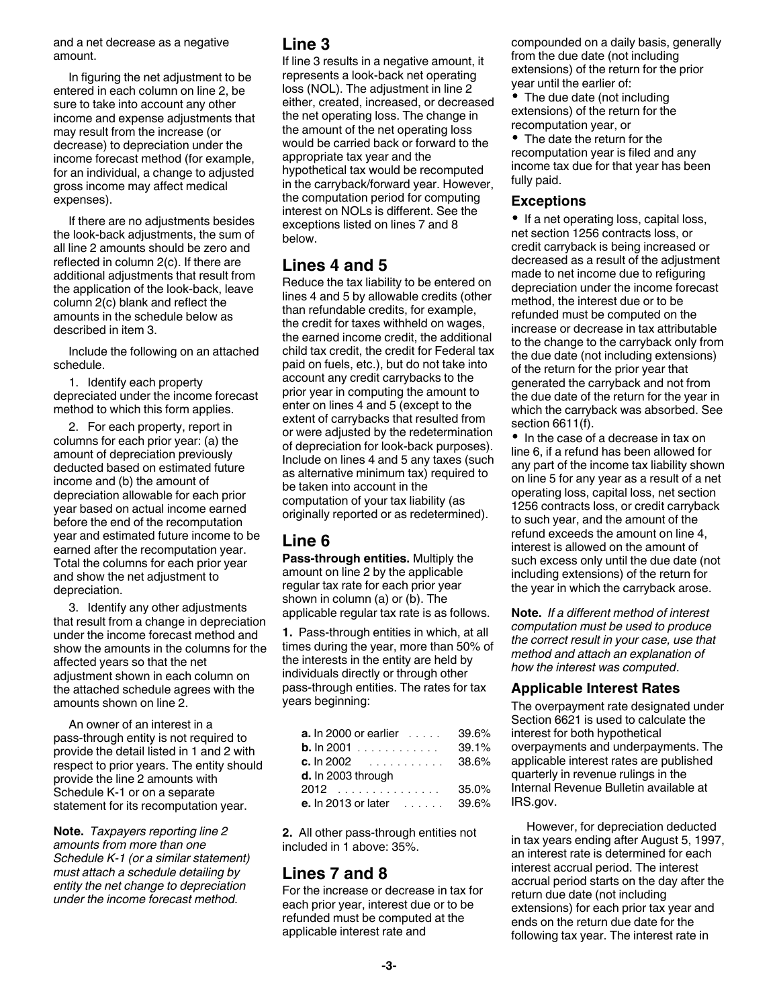and a net decrease as a negative amount.

In figuring the net adjustment to be entered in each column on line 2, be sure to take into account any other income and expense adjustments that may result from the increase (or decrease) to depreciation under the income forecast method (for example, for an individual, a change to adjusted gross income may affect medical expenses).

If there are no adjustments besides the look-back adjustments, the sum of all line 2 amounts should be zero and reflected in column 2(c). If there are additional adjustments that result from the application of the look-back, leave column 2(c) blank and reflect the amounts in the schedule below as described in item 3.

Include the following on an attached schedule.

1. Identify each property depreciated under the income forecast method to which this form applies.

2. For each property, report in columns for each prior year: (a) the amount of depreciation previously deducted based on estimated future income and (b) the amount of depreciation allowable for each prior year based on actual income earned before the end of the recomputation year and estimated future income to be earned after the recomputation year. Total the columns for each prior year and show the net adjustment to depreciation.

3. Identify any other adjustments that result from a change in depreciation under the income forecast method and show the amounts in the columns for the affected years so that the net adjustment shown in each column on the attached schedule agrees with the amounts shown on line 2.

An owner of an interest in a pass-through entity is not required to provide the detail listed in 1 and 2 with respect to prior years. The entity should provide the line 2 amounts with Schedule K-1 or on a separate statement for its recomputation year.

**Note.** *Taxpayers reporting line 2 amounts from more than one Schedule K-1 (or a similar statement) must attach a schedule detailing by entity the net change to depreciation under the income forecast method.*

#### **Line 3**

If line 3 results in a negative amount, it represents a look-back net operating loss (NOL). The adjustment in line 2 either, created, increased, or decreased the net operating loss. The change in the amount of the net operating loss would be carried back or forward to the appropriate tax year and the hypothetical tax would be recomputed in the carryback/forward year. However, the computation period for computing interest on NOLs is different. See the exceptions listed on lines 7 and 8 below.

## **Lines 4 and 5**

Reduce the tax liability to be entered on lines 4 and 5 by allowable credits (other than refundable credits, for example, the credit for taxes withheld on wages, the earned income credit, the additional child tax credit, the credit for Federal tax paid on fuels, etc.), but do not take into account any credit carrybacks to the prior year in computing the amount to enter on lines 4 and 5 (except to the extent of carrybacks that resulted from or were adjusted by the redetermination of depreciation for look-back purposes). Include on lines 4 and 5 any taxes (such as alternative minimum tax) required to be taken into account in the computation of your tax liability (as originally reported or as redetermined).

## **Line 6**

**Pass-through entities.** Multiply the amount on line 2 by the applicable regular tax rate for each prior year shown in column (a) or (b). The applicable regular tax rate is as follows.

**1.** Pass-through entities in which, at all times during the year, more than 50% of the interests in the entity are held by individuals directly or through other pass-through entities. The rates for tax years beginning:

| <b>a.</b> In 2000 or earlier $\ldots$ | 39.6% |
|---------------------------------------|-------|
| <b>b.</b> $\ln 2001$                  | 39.1% |
| <b>c.</b> $\ln 2002$                  | 38.6% |
| d. In 2003 through                    |       |
| 2012                                  | 35.0% |
| e. In 2013 or later<br>ana ana ami    | 39.6% |

**2.** All other pass-through entities not included in 1 above: 35%.

# **Lines 7 and 8**

For the increase or decrease in tax for each prior year, interest due or to be refunded must be computed at the applicable interest rate and

compounded on a daily basis, generally from the due date (not including extensions) of the return for the prior year until the earlier of:

• The due date (not including extensions) of the return for the recomputation year, or

The date the return for the recomputation year is filed and any income tax due for that year has been fully paid.

#### **Exceptions**

• If a net operating loss, capital loss, net section 1256 contracts loss, or credit carryback is being increased or decreased as a result of the adjustment made to net income due to refiguring depreciation under the income forecast method, the interest due or to be refunded must be computed on the increase or decrease in tax attributable to the change to the carryback only from the due date (not including extensions) of the return for the prior year that generated the carryback and not from the due date of the return for the year in which the carryback was absorbed. See section 6611(f).

• In the case of a decrease in tax on line 6, if a refund has been allowed for any part of the income tax liability shown on line 5 for any year as a result of a net operating loss, capital loss, net section 1256 contracts loss, or credit carryback to such year, and the amount of the refund exceeds the amount on line 4, interest is allowed on the amount of such excess only until the due date (not including extensions) of the return for the year in which the carryback arose.

**Note.** *If a different method of interest computation must be used to produce the correct result in your case, use that method and attach an explanation of how the interest was computed*.

#### **Applicable Interest Rates**

The overpayment rate designated under Section 6621 is used to calculate the interest for both hypothetical overpayments and underpayments. The applicable interest rates are published quarterly in revenue rulings in the Internal Revenue Bulletin available at IRS.gov.

However, for depreciation deducted in tax years ending after August 5, 1997, an interest rate is determined for each interest accrual period. The interest accrual period starts on the day after the return due date (not including extensions) for each prior tax year and ends on the return due date for the following tax year. The interest rate in